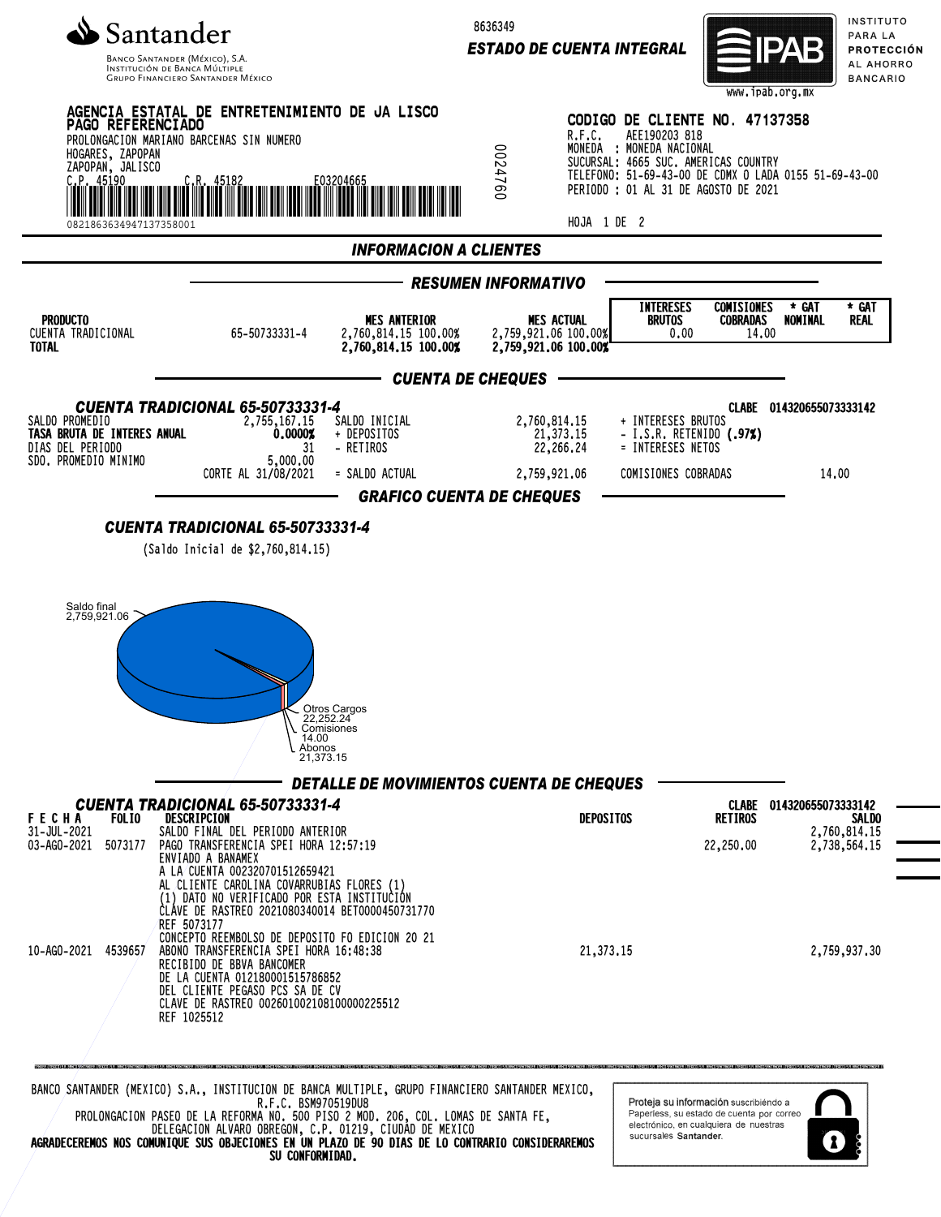

**GRUPO FINANCIERO SANTANDER MÉXICO** 

8636349

*ESTADO DE CUENTA INTEGRAL*



INSTITUTO PARA LA PROTECCIÓN AL AHORRO **BANCARIO** 



DELEGACION ALVARO OBREGON, C.P. 01219, CIUDAD DE MEXICO AGRADECEREMOS NOS COMUNIQUE SUS OBJECIONES EN UN PLAZO DE 90 DIAS DE LO CONTRARIO CONSIDERAREMOS SU CONFORMIDAD.

sucursales Santander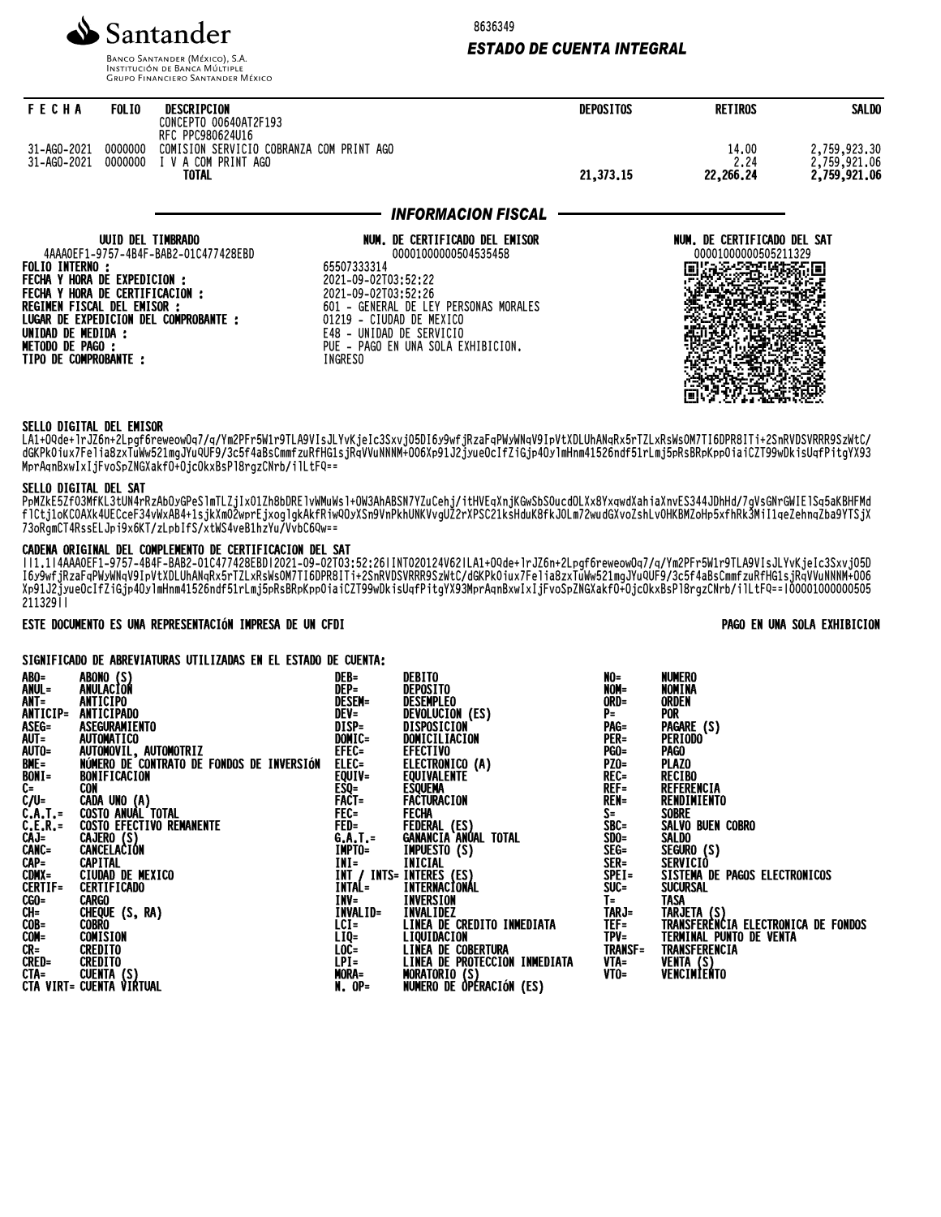

**BANCO SANTANDER (MÉXICO), S.A. INSTITUCIÓN DE BANCA MÚLTIPLE**<br>INSTITUCIÓN DE BANCA MÚLTIPLE<br>GRUPO FINANCIERO SANTANDER MÉXICO 8636349

# *ESTADO DE CUENTA INTEGRAL*

| <b>FECHA</b>                                                   | <b>FOLIO</b>      | DESCRIPCION<br>CONCEPTO 00640AT2F193                                                         |                                                              | <b>DEPOSITOS</b> | <b>RETIROS</b>                                      | <b>SALDO</b>                                        |
|----------------------------------------------------------------|-------------------|----------------------------------------------------------------------------------------------|--------------------------------------------------------------|------------------|-----------------------------------------------------|-----------------------------------------------------|
| 31-AG0-2021 0000000<br>31-AG0-2021 0000000                     |                   | RFC PPC980624U16<br>COMISION SERVICIO COBRANZA COM PRINT AGO<br>I V A COM PRINT AGO<br>TOTAL |                                                              | 21,373,15        | 14.00<br>2.24<br>22,266.24                          | 2,759,923.30<br>2,759,921.06<br><b>2,759,921.06</b> |
|                                                                |                   |                                                                                              | <b>INFORMACION FISCAL</b>                                    |                  |                                                     |                                                     |
|                                                                | UUID DEL TIMBRADO | 4AAA0EF1-9757-4B4F-BAB2-01C477428EBD                                                         | NUM. DE CERTIFICADO DEL EMISOR<br>00001000000504535458       |                  | NUM. DE CERTIFICADO DEL SAT<br>00001000000505211329 |                                                     |
| FOLIO INTERNO :<br>FECHA Y HORA DE EXPEDICION :                |                   |                                                                                              | 65507333314<br>2021-09-02T03:52:22                           |                  |                                                     |                                                     |
| FECHA Y HORA DE CERTIFICACION :<br>REGIMEN FISCAL DEL EMISOR : |                   |                                                                                              | 2021-09-02T03:52:26<br>601 - GENERAL DE LEY PERSONAS MORALES |                  |                                                     |                                                     |
| UNIDAD DE MEDIDA :                                             |                   | LUGAR DE EXPEDICION DEL COMPROBANTE :                                                        | 01219 - CIUDAD DE MEXICO<br>E48 - UNIDAD DE SERVICIO         |                  |                                                     |                                                     |
| <b>METODO DE PAGO :</b><br>TIPO DE COMPROBANTE :               |                   |                                                                                              | PUE - PAGO EN UNA SOLA EXHIBICION.<br>INGRESO                |                  |                                                     |                                                     |
|                                                                |                   |                                                                                              |                                                              |                  |                                                     |                                                     |
|                                                                |                   |                                                                                              |                                                              |                  |                                                     |                                                     |

#### SELLO DIGITAL DEL EMISOR

LA1+OQde+lrJZ6n+2Lpgf6reweowOq7/q/Ym2PFr5W1r9TLA9VIsJLYvKjeIc3Sxvj05DI6y9wfjRzaFqPWyWNqV9IpVtXDLUhANqRx5rTZLxRsWs0M7TI6DPR8ITi+2SnRVDSVRRR9SzWtC/ dGKPk0iux7Felia8zxTuWw521mgJYuQUF9/3c5f4aBsCmmfzuRfHG1sjRqVVuNNNM+O06Xp91J2jyueOcIfZiGjp4OylmHnm41526ndf51rLmj5pRsBRpKpp0iaiCZT99wDkisUqfPitgYX93 MprAqnBxwIxIjFvoSpZNGXakfO+OjcOkxBsPl8rgzCNrb/ilLtFQ==

# SELLO DIGITAL DEL SAT

PpMZkE5Zf03MfKL3tUN4rRzAbOyGPeSlmTLZjIx01Zh8bDRElvWMuWsl+OW3AhABSN7YZuCehj/itHVEqXnjKGwSbS0ucdOLXx8YxqwdXahiaXnvES344JDhHd/7gVsGNrGWIElSq5aKBHFMd flCtj1oKC0AXk4UECceF34vWxAB4+1sjkXm02wprEjxoglgkAkfRiwQOyXSn9VnPkhUNKVvgUZ2rXPSC21ksHduK8fkJ0Lm72wudGXvoZshLv0HKBMZoHp5xfhRk3MiI1qeZehnqZba9YTSjX 73oRgmCT4RssELJpi9x6KT/zLpbIfS/xtWS4veB1hzYu/VvbC6Qw==

# CADENA ORIGINAL DEL COMPLEMENTO DE CERTIFICACION DEL SAT

||1.1|4AAA0EF1-9757-4B4F-BAB2-01C477428EBD|2021-09-02T03:52:26|INT020124V62|LA1+OQde+lrJZ6n+2Lpgf6reweowOq7/q/Ym2PFr5W1r9TLA9VIsJLYvKjeIc3Sxvj05D I6y9wfjRzaFqPWyWNqV9IpVtXDLUhANqRx5rTZLxRsWs0M7TI6DPR8ITi+2SnRVDSVRRR9SzWtC/dGKPk0iux7Felia8zxTuWw521mgJYuQUF9/3c5f4aBsCmmfzuRfHG1sjRqVVuNNNM+O06 Xp91J2jyueOcIfZiGjp4OylmHnm41526ndf51rLmj5pRsBRpKpp0iaiCZT99wDkisUqfPitgYX93MprAqnBxwIxIjFvoSpZNGXakfO+OjcOkxBsPl8rgzCNrb/ilLtFQ==|00001000000505 211329||

## ESTE DOCUMENTO ES UNA REPRESENTACIÓN IMPRESA DE UN CFDI PAGO EN UNA SOLA EXHIBICION

## SIGNIFICADO DE ABREVIATURAS UTILIZADAS EN EL ESTADO DE CUENTA:

|                                                                                                         | ABONO (S)<br>ANULACIÓN                                                              | DEB=              | DEBITO                                                                    | NO=                                | <b>NUMERO</b>                                      |
|---------------------------------------------------------------------------------------------------------|-------------------------------------------------------------------------------------|-------------------|---------------------------------------------------------------------------|------------------------------------|----------------------------------------------------|
|                                                                                                         |                                                                                     | DEP=              | DEPOSITO                                                                  | NOM=                               | NOMINA                                             |
| ABO=<br>ANUL =<br>ANT=                                                                                  | ANTICIPO                                                                            | <b>DESEM=</b>     | DESEMPLEO                                                                 | ORD=                               | ORDEN                                              |
| ANTICIP=                                                                                                | ANTICIPADO                                                                          | $DEV =$           | DEVOLUCION (ES)                                                           | $P=$                               | <b>POR</b>                                         |
|                                                                                                         | ASEGURAMIENTO                                                                       | DISP=             | DISPOSICION                                                               | PAG=                               | PAGARE (S)                                         |
|                                                                                                         | AUTOMATICO                                                                          | DOMIC=            | DOMICILIACION                                                             | <b>PER=</b>                        | <b>PERIODO</b>                                     |
|                                                                                                         |                                                                                     | EFEC=             | <b>EFECTIVO</b>                                                           | <b>PGO=</b>                        | Pago                                               |
|                                                                                                         | AUTOMOVIL, AUTOMOTRIZ<br>NÚMERO DE CONTRATO DE FONDOS DE INVERSIÓN                  | ELEC=             |                                                                           | $PZ0=$                             | <b>PLAZO</b>                                       |
|                                                                                                         | BONIFICACION                                                                        | EQUIV=            | ELECTRONICO (A)<br>EQUIVALENTE                                            | RĒČ=                               | <b>RECIBO</b>                                      |
| ASEG=<br>AUTO=<br>AUTO=<br>BME=<br>BONI=<br>C-/U=<br>C-A.T.F.<br>CAJ=<br>CANC=<br>CAP=<br>CAP=<br>CDMX= | CON                                                                                 |                   | <b>ESQUEMA</b>                                                            | $REF=$                             | REFERENCIA                                         |
|                                                                                                         | CADA UNO (A)<br>COSTO ANUAL TOTAL<br>COSTO EFECTIVO REMANENTE                       | EŜQ=<br>Fact=     | FACTURACION<br>FACTURACION                                                | <b>REN=</b>                        | RENDIMIENTO                                        |
|                                                                                                         |                                                                                     | $FEC =$           |                                                                           | S=<br>SBC=<br>SBC=<br>SDO=<br>SEG= | <b>SOBRE</b>                                       |
|                                                                                                         |                                                                                     | $FED =$           |                                                                           |                                    | SALVO BUEN COBRO                                   |
|                                                                                                         | CAJERO (S)<br>CANCELACION                                                           | G.A.T.=<br>IMPTO= | FEDERAL (ES)<br>GANANCIA ANUAL TOTAL                                      |                                    | <b>SALDO</b>                                       |
|                                                                                                         |                                                                                     |                   | <b>IMPUESTO (S)</b>                                                       |                                    | SEGURO (S)                                         |
|                                                                                                         |                                                                                     |                   |                                                                           | SER=                               |                                                    |
|                                                                                                         | CAPITAL<br>CIUDAD DE MEXICO                                                         |                   | $SPEI =$                                                                  |                                    | SERVICIÒ<br>SISTEMA DE PAGOS ELECTRONICOS          |
| <b>CERTIF=</b>                                                                                          | <b>CERTIFICADO</b>                                                                  |                   | <b>INI= INICIAL<br/>INI / INIS= INIERES (ES)<br/>INIAL= INIERNACIONAL</b> | $\frac{\text{SUC}}{\text{T}}$      | <b>SUCURSAL</b>                                    |
|                                                                                                         | <b>CARGO</b>                                                                        | INV=              | <b>INVERSION</b>                                                          |                                    | TASA                                               |
| CGO=<br>CH=<br>COB=<br>COM=                                                                             | CHEQUE (S, RA)                                                                      | INVALID=          | INVALIDEZ                                                                 | TARJ=<br>TEF=                      | TARJETA (S)<br>TRANSFERENCIA ELECTRONICA DE FONDOS |
|                                                                                                         | <b>COBRO</b>                                                                        | $LCI =$           | LINEA DE CREDITO INMEDIATA                                                |                                    |                                                    |
|                                                                                                         | COMISION                                                                            | LIQ=              | <b>LIQUIDACION<br/>LINEA DE COBERTURA</b>                                 | $TPV =$                            | TERMINAL PUNTO DE VENTA                            |
|                                                                                                         |                                                                                     | LOC=              |                                                                           | <b>TRANSF=</b>                     | TRANSFERENCIA                                      |
|                                                                                                         |                                                                                     | $LPI =$           | LINEA DE PROTECCION INMEDIATA                                             | VTA=                               | VENTA (S)<br>VENCIMIENTO                           |
|                                                                                                         |                                                                                     | MORA=             |                                                                           | VTO=                               |                                                    |
|                                                                                                         | <b>CR= CREDITO<br/>CRED= CREDITO<br/>CRED= CREDITO<br/>CTA VIRT= CUENTA VIRTUAL</b> | $N.$ OP=          | MORATORIO (S)<br>NUMERO DE OPERACIÓN (ES)                                 |                                    |                                                    |